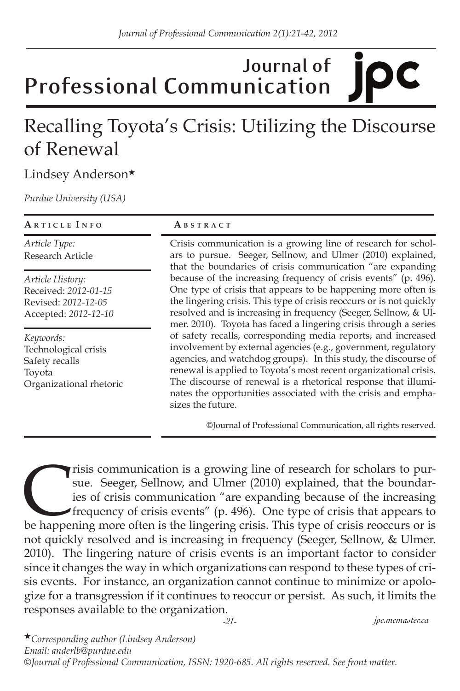### **Journal of**  IDC **Professional Communication**

# Recalling Toyota's Crisis: Utilizing the Discourse of Renewal

#### Lindsey Anderson★

*Purdue University (USA)*

| ARTICLE INFO                                                                             | ABSTRACT                                                                                                                                                                                                                                                                                                                                                                                                                                                                                                                                                                                                                                                                                                                                                                           |  |
|------------------------------------------------------------------------------------------|------------------------------------------------------------------------------------------------------------------------------------------------------------------------------------------------------------------------------------------------------------------------------------------------------------------------------------------------------------------------------------------------------------------------------------------------------------------------------------------------------------------------------------------------------------------------------------------------------------------------------------------------------------------------------------------------------------------------------------------------------------------------------------|--|
| Article Type:<br>Research Article                                                        | Crisis communication is a growing line of research for schol-<br>ars to pursue. Seeger, Sellnow, and Ulmer (2010) explained,<br>that the boundaries of crisis communication "are expanding                                                                                                                                                                                                                                                                                                                                                                                                                                                                                                                                                                                         |  |
| Article History:<br>Received: 2012-01-15<br>Revised: 2012-12-05<br>Accepted: 2012-12-10  | because of the increasing frequency of crisis events" (p. 496).<br>One type of crisis that appears to be happening more often is<br>the lingering crisis. This type of crisis reoccurs or is not quickly<br>resolved and is increasing in frequency (Seeger, Sellnow, & Ul-<br>mer. 2010). Toyota has faced a lingering crisis through a series<br>of safety recalls, corresponding media reports, and increased<br>involvement by external agencies (e.g., government, regulatory<br>agencies, and watchdog groups). In this study, the discourse of<br>renewal is applied to Toyota's most recent organizational crisis.<br>The discourse of renewal is a rhetorical response that illumi-<br>nates the opportunities associated with the crisis and empha-<br>sizes the future. |  |
| Keywords:<br>Technological crisis<br>Safety recalls<br>Toyota<br>Organizational rhetoric |                                                                                                                                                                                                                                                                                                                                                                                                                                                                                                                                                                                                                                                                                                                                                                                    |  |

©Journal of Professional Communication, all rights reserved.

Trisis communication is a growing line of research for scholars to pur-<br>
sue. Seeger, Sellnow, and Ulmer (2010) explained, that the boundar-<br>
ies of crisis communication "are expanding because of the increasing<br>
frequency sue. Seeger, Sellnow, and Ulmer (2010) explained, that the boundaries of crisis communication "are expanding because of the increasing frequency of crisis events" (p. 496). One type of crisis that appears to not quickly resolved and is increasing in frequency (Seeger, Sellnow, & Ulmer. 2010). The lingering nature of crisis events is an important factor to consider since it changes the way in which organizations can respond to these types of crisis events. For instance, an organization cannot continue to minimize or apologize for a transgression if it continues to reoccur or persist. As such, it limits the responses available to the organization.

*-21- jpc.mcmaster.ca*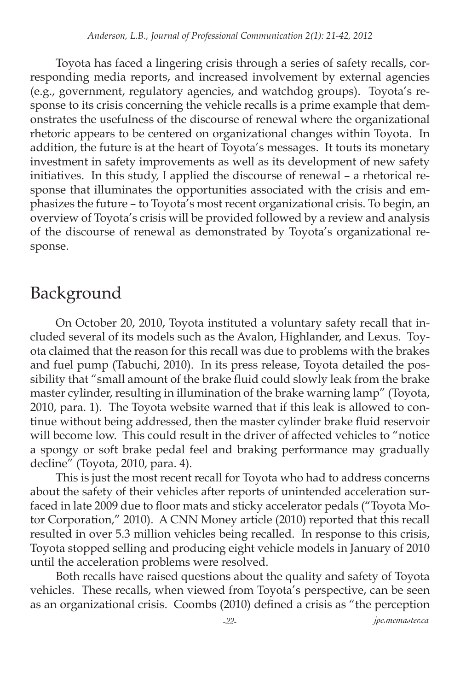Toyota has faced a lingering crisis through a series of safety recalls, corresponding media reports, and increased involvement by external agencies (e.g., government, regulatory agencies, and watchdog groups). Toyota's response to its crisis concerning the vehicle recalls is a prime example that demonstrates the usefulness of the discourse of renewal where the organizational rhetoric appears to be centered on organizational changes within Toyota. In addition, the future is at the heart of Toyota's messages. It touts its monetary investment in safety improvements as well as its development of new safety initiatives. In this study, I applied the discourse of renewal – a rhetorical response that illuminates the opportunities associated with the crisis and emphasizes the future – to Toyota's most recent organizational crisis. To begin, an overview of Toyota's crisis will be provided followed by a review and analysis of the discourse of renewal as demonstrated by Toyota's organizational response.

# Background

On October 20, 2010, Toyota instituted a voluntary safety recall that included several of its models such as the Avalon, Highlander, and Lexus. Toyota claimed that the reason for this recall was due to problems with the brakes and fuel pump (Tabuchi, 2010). In its press release, Toyota detailed the possibility that "small amount of the brake fluid could slowly leak from the brake master cylinder, resulting in illumination of the brake warning lamp" (Toyota, 2010, para. 1). The Toyota website warned that if this leak is allowed to continue without being addressed, then the master cylinder brake fluid reservoir will become low. This could result in the driver of affected vehicles to "notice a spongy or soft brake pedal feel and braking performance may gradually decline" (Toyota, 2010, para. 4).

This is just the most recent recall for Toyota who had to address concerns about the safety of their vehicles after reports of unintended acceleration surfaced in late 2009 due to floor mats and sticky accelerator pedals ("Toyota Motor Corporation," 2010). A CNN Money article (2010) reported that this recall resulted in over 5.3 million vehicles being recalled. In response to this crisis, Toyota stopped selling and producing eight vehicle models in January of 2010 until the acceleration problems were resolved.

Both recalls have raised questions about the quality and safety of Toyota vehicles. These recalls, when viewed from Toyota's perspective, can be seen as an organizational crisis. Coombs (2010) defined a crisis as "the perception

*-22- jpc.mcmaster.ca*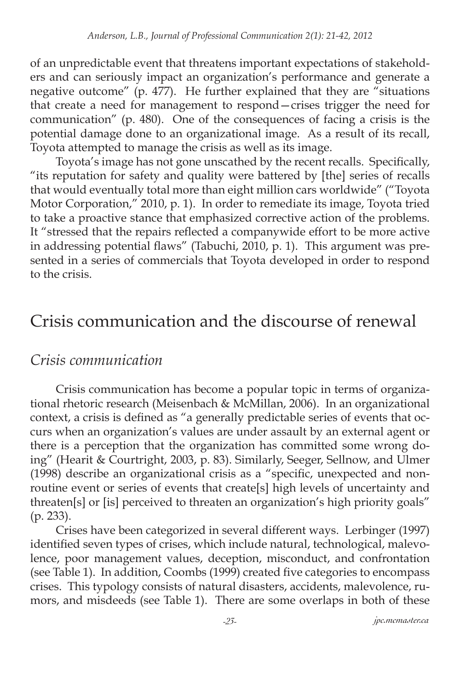of an unpredictable event that threatens important expectations of stakeholders and can seriously impact an organization's performance and generate a negative outcome" (p.  $477$ ). He further explained that they are "situations that create a need for management to respond—crises trigger the need for communication" (p. 480). One of the consequences of facing a crisis is the potential damage done to an organizational image. As a result of its recall, Toyota attempted to manage the crisis as well as its image.

Toyota's image has not gone unscathed by the recent recalls. Specifically, "its reputation for safety and quality were battered by [the] series of recalls that would eventually total more than eight million cars worldwide" ("Toyota Motor Corporation," 2010, p. 1). In order to remediate its image, Toyota tried to take a proactive stance that emphasized corrective action of the problems. It "stressed that the repairs reflected a companywide effort to be more active in addressing potential flaws" (Tabuchi, 2010, p. 1). This argument was presented in a series of commercials that Toyota developed in order to respond to the crisis.

## Crisis communication and the discourse of renewal

### *Crisis communication*

Crisis communication has become a popular topic in terms of organizational rhetoric research (Meisenbach & McMillan, 2006). In an organizational context, a crisis is defined as "a generally predictable series of events that occurs when an organization's values are under assault by an external agent or there is a perception that the organization has committed some wrong doing" (Hearit & Courtright, 2003, p. 83). Similarly, Seeger, Sellnow, and Ulmer (1998) describe an organizational crisis as a "specific, unexpected and nonroutine event or series of events that create[s] high levels of uncertainty and threaten[s] or [is] perceived to threaten an organization's high priority goals" (p. 233).

Crises have been categorized in several different ways. Lerbinger (1997) identified seven types of crises, which include natural, technological, malevolence, poor management values, deception, misconduct, and confrontation (see Table 1). In addition, Coombs (1999) created five categories to encompass crises. This typology consists of natural disasters, accidents, malevolence, rumors, and misdeeds (see Table 1). There are some overlaps in both of these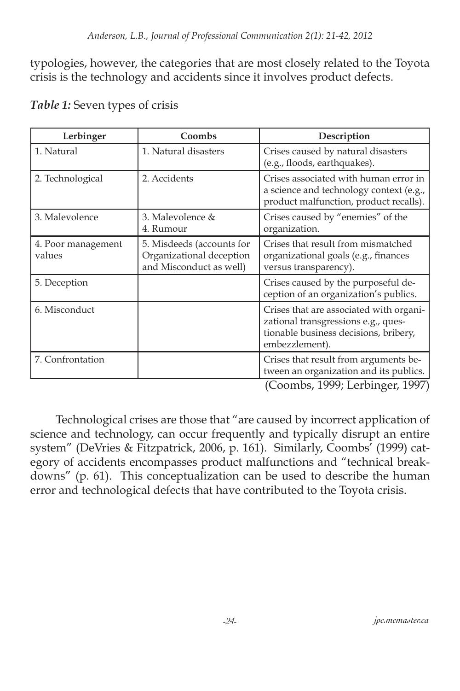typologies, however, the categories that are most closely related to the Toyota crisis is the technology and accidents since it involves product defects.

| Lerbinger                    | Coombs                                                                           | Description                                                                                                                               |
|------------------------------|----------------------------------------------------------------------------------|-------------------------------------------------------------------------------------------------------------------------------------------|
| 1. Natural                   | 1. Natural disasters                                                             | Crises caused by natural disasters<br>(e.g., floods, earthquakes).                                                                        |
| 2. Technological             | 2. Accidents                                                                     | Crises associated with human error in<br>a science and technology context (e.g.,<br>product malfunction, product recalls).                |
| 3. Malevolence               | 3. Malevolence &<br>4. Rumour                                                    | Crises caused by "enemies" of the<br>organization.                                                                                        |
| 4. Poor management<br>values | 5. Misdeeds (accounts for<br>Organizational deception<br>and Misconduct as well) | Crises that result from mismatched<br>organizational goals (e.g., finances<br>versus transparency).                                       |
| 5. Deception                 |                                                                                  | Crises caused by the purposeful de-<br>ception of an organization's publics.                                                              |
| 6. Misconduct                |                                                                                  | Crises that are associated with organi-<br>zational transgressions e.g., ques-<br>tionable business decisions, bribery,<br>embezzlement). |
| 7. Confrontation             |                                                                                  | Crises that result from arguments be-<br>tween an organization and its publics.<br>1.4000T1<br>$\sqrt{ }$<br>400T                         |

#### *Table 1:* Seven types of crisis

(Coombs, 1999; Lerbinger, 1997)

Technological crises are those that "are caused by incorrect application of science and technology, can occur frequently and typically disrupt an entire system" (DeVries & Fitzpatrick, 2006, p. 161). Similarly, Coombs' (1999) category of accidents encompasses product malfunctions and "technical breakdowns" (p. 61). This conceptualization can be used to describe the human error and technological defects that have contributed to the Toyota crisis.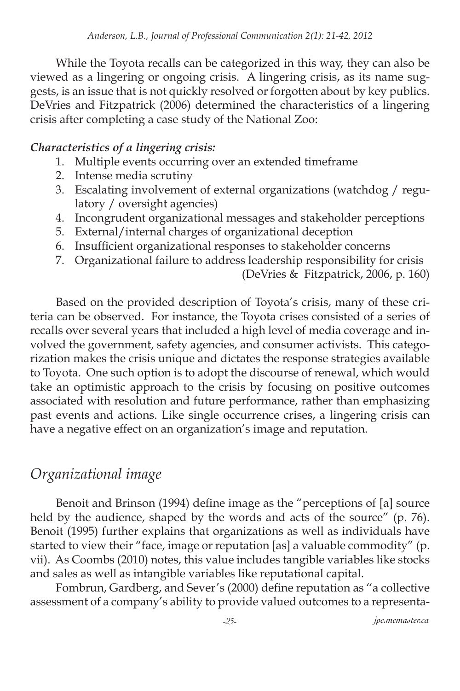While the Toyota recalls can be categorized in this way, they can also be viewed as a lingering or ongoing crisis. A lingering crisis, as its name suggests, is an issue that is not quickly resolved or forgotten about by key publics. DeVries and Fitzpatrick (2006) determined the characteristics of a lingering crisis after completing a case study of the National Zoo:

#### *Characteristics of a lingering crisis:*

- 1. Multiple events occurring over an extended timeframe
- 2. Intense media scrutiny
- 3. Escalating involvement of external organizations (watchdog / regulatory / oversight agencies)
- 4. Incongrudent organizational messages and stakeholder perceptions
- 5. External/internal charges of organizational deception
- 6. Insufficient organizational responses to stakeholder concerns
- 7. Organizational failure to address leadership responsibility for crisis

(DeVries & Fitzpatrick, 2006, p. 160)

Based on the provided description of Toyota's crisis, many of these criteria can be observed. For instance, the Toyota crises consisted of a series of recalls over several years that included a high level of media coverage and involved the government, safety agencies, and consumer activists. This categorization makes the crisis unique and dictates the response strategies available to Toyota. One such option is to adopt the discourse of renewal, which would take an optimistic approach to the crisis by focusing on positive outcomes associated with resolution and future performance, rather than emphasizing past events and actions. Like single occurrence crises, a lingering crisis can have a negative effect on an organization's image and reputation.

### *Organizational image*

Benoit and Brinson (1994) define image as the "perceptions of [a] source held by the audience, shaped by the words and acts of the source" (p. 76). Benoit (1995) further explains that organizations as well as individuals have started to view their "face, image or reputation [as] a valuable commodity" (p. vii). As Coombs (2010) notes, this value includes tangible variables like stocks and sales as well as intangible variables like reputational capital.

Fombrun, Gardberg, and Sever's (2000) define reputation as ''a collective assessment of a company's ability to provide valued outcomes to a representa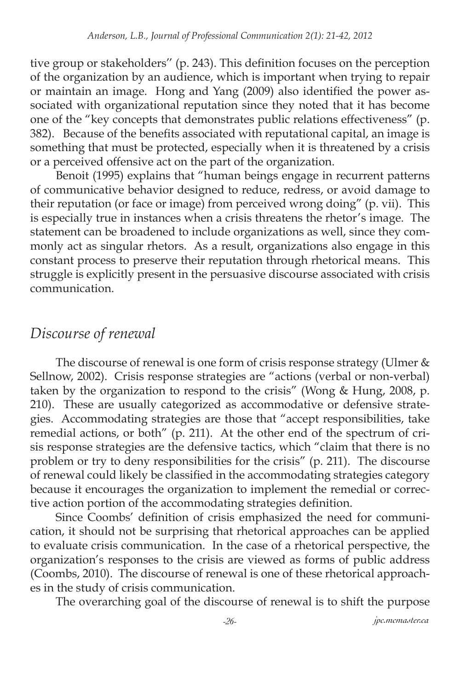tive group or stakeholders'' (p. 243). This definition focuses on the perception of the organization by an audience, which is important when trying to repair or maintain an image. Hong and Yang (2009) also identified the power associated with organizational reputation since they noted that it has become one of the "key concepts that demonstrates public relations effectiveness" (p. 382). Because of the benefits associated with reputational capital, an image is something that must be protected, especially when it is threatened by a crisis or a perceived offensive act on the part of the organization.

Benoit (1995) explains that "human beings engage in recurrent patterns of communicative behavior designed to reduce, redress, or avoid damage to their reputation (or face or image) from perceived wrong doing" (p. vii). This is especially true in instances when a crisis threatens the rhetor's image. The statement can be broadened to include organizations as well, since they commonly act as singular rhetors. As a result, organizations also engage in this constant process to preserve their reputation through rhetorical means. This struggle is explicitly present in the persuasive discourse associated with crisis communication.

### *Discourse of renewal*

The discourse of renewal is one form of crisis response strategy (Ulmer & Sellnow, 2002). Crisis response strategies are "actions (verbal or non-verbal) taken by the organization to respond to the crisis" (Wong & Hung, 2008, p. 210). These are usually categorized as accommodative or defensive strategies. Accommodating strategies are those that "accept responsibilities, take remedial actions, or both" (p. 211). At the other end of the spectrum of crisis response strategies are the defensive tactics, which "claim that there is no problem or try to deny responsibilities for the crisis" (p. 211). The discourse of renewal could likely be classified in the accommodating strategies category because it encourages the organization to implement the remedial or corrective action portion of the accommodating strategies definition.

Since Coombs' definition of crisis emphasized the need for communication, it should not be surprising that rhetorical approaches can be applied to evaluate crisis communication. In the case of a rhetorical perspective, the organization's responses to the crisis are viewed as forms of public address (Coombs, 2010). The discourse of renewal is one of these rhetorical approaches in the study of crisis communication.

The overarching goal of the discourse of renewal is to shift the purpose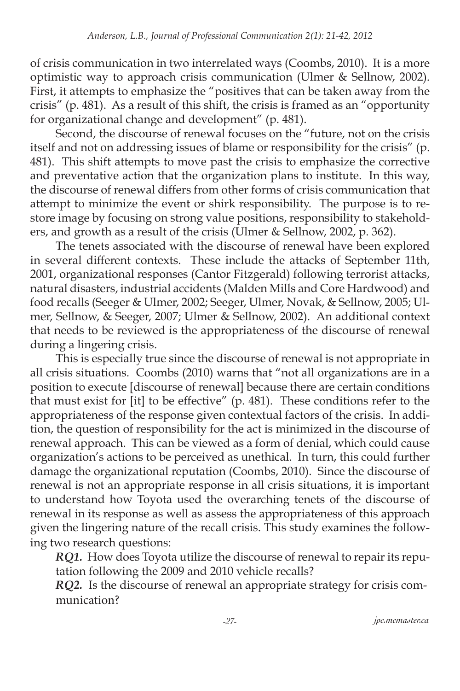of crisis communication in two interrelated ways (Coombs, 2010). It is a more optimistic way to approach crisis communication (Ulmer & Sellnow, 2002). First, it attempts to emphasize the "positives that can be taken away from the crisis" (p. 481). As a result of this shift, the crisis is framed as an "opportunity for organizational change and development" (p. 481).

Second, the discourse of renewal focuses on the "future, not on the crisis itself and not on addressing issues of blame or responsibility for the crisis" (p. 481). This shift attempts to move past the crisis to emphasize the corrective and preventative action that the organization plans to institute. In this way, the discourse of renewal differs from other forms of crisis communication that attempt to minimize the event or shirk responsibility. The purpose is to restore image by focusing on strong value positions, responsibility to stakeholders, and growth as a result of the crisis (Ulmer & Sellnow, 2002, p. 362).

The tenets associated with the discourse of renewal have been explored in several different contexts. These include the attacks of September 11th, 2001, organizational responses (Cantor Fitzgerald) following terrorist attacks, natural disasters, industrial accidents (Malden Mills and Core Hardwood) and food recalls (Seeger & Ulmer, 2002; Seeger, Ulmer, Novak, & Sellnow, 2005; Ulmer, Sellnow, & Seeger, 2007; Ulmer & Sellnow, 2002). An additional context that needs to be reviewed is the appropriateness of the discourse of renewal during a lingering crisis.

This is especially true since the discourse of renewal is not appropriate in all crisis situations. Coombs (2010) warns that "not all organizations are in a position to execute [discourse of renewal] because there are certain conditions that must exist for [it] to be effective" (p. 481). These conditions refer to the appropriateness of the response given contextual factors of the crisis. In addition, the question of responsibility for the act is minimized in the discourse of renewal approach. This can be viewed as a form of denial, which could cause organization's actions to be perceived as unethical. In turn, this could further damage the organizational reputation (Coombs, 2010). Since the discourse of renewal is not an appropriate response in all crisis situations, it is important to understand how Toyota used the overarching tenets of the discourse of renewal in its response as well as assess the appropriateness of this approach given the lingering nature of the recall crisis. This study examines the following two research questions:

*RQ1.* How does Toyota utilize the discourse of renewal to repair its reputation following the 2009 and 2010 vehicle recalls?

*RQ2.* Is the discourse of renewal an appropriate strategy for crisis communication?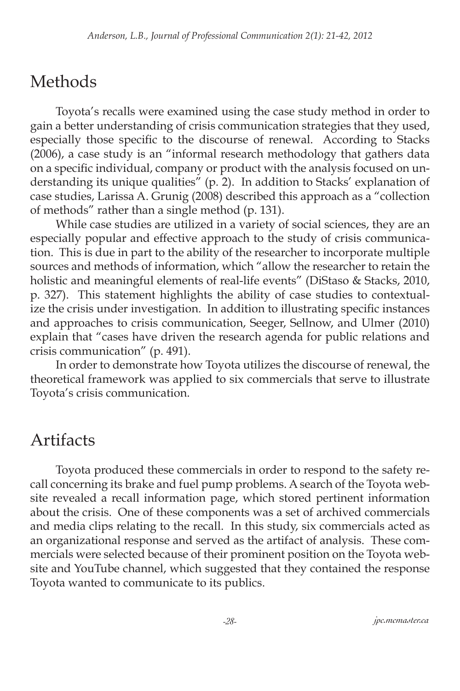# Methods

Toyota's recalls were examined using the case study method in order to gain a better understanding of crisis communication strategies that they used, especially those specific to the discourse of renewal. According to Stacks (2006), a case study is an "informal research methodology that gathers data on a specific individual, company or product with the analysis focused on understanding its unique qualities" (p. 2). In addition to Stacks' explanation of case studies, Larissa A. Grunig (2008) described this approach as a "collection of methods" rather than a single method (p. 131).

While case studies are utilized in a variety of social sciences, they are an especially popular and effective approach to the study of crisis communication. This is due in part to the ability of the researcher to incorporate multiple sources and methods of information, which "allow the researcher to retain the holistic and meaningful elements of real-life events" (DiStaso & Stacks, 2010, p. 327). This statement highlights the ability of case studies to contextualize the crisis under investigation. In addition to illustrating specific instances and approaches to crisis communication, Seeger, Sellnow, and Ulmer (2010) explain that "cases have driven the research agenda for public relations and crisis communication" (p. 491).

In order to demonstrate how Toyota utilizes the discourse of renewal, the theoretical framework was applied to six commercials that serve to illustrate Toyota's crisis communication.

# Artifacts

Toyota produced these commercials in order to respond to the safety recall concerning its brake and fuel pump problems. A search of the Toyota website revealed a recall information page, which stored pertinent information about the crisis. One of these components was a set of archived commercials and media clips relating to the recall. In this study, six commercials acted as an organizational response and served as the artifact of analysis. These commercials were selected because of their prominent position on the Toyota website and YouTube channel, which suggested that they contained the response Toyota wanted to communicate to its publics.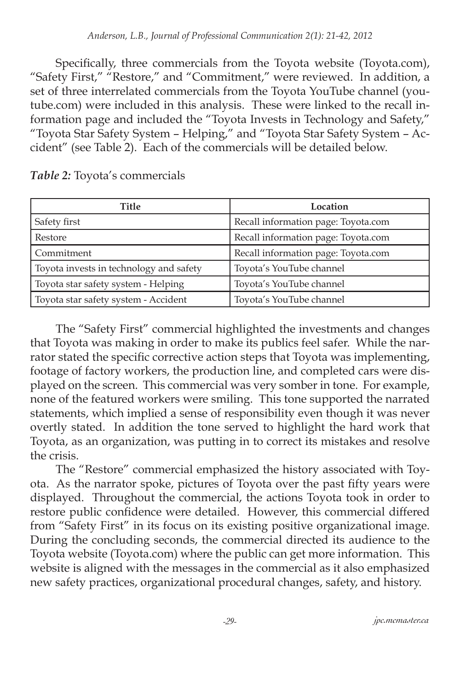Specifically, three commercials from the Toyota website (Toyota.com), "Safety First," "Restore," and "Commitment," were reviewed. In addition, a set of three interrelated commercials from the Toyota YouTube channel (youtube.com) were included in this analysis. These were linked to the recall information page and included the "Toyota Invests in Technology and Safety," "Toyota Star Safety System – Helping," and "Toyota Star Safety System – Accident" (see Table 2). Each of the commercials will be detailed below.

| Title                                   | Location                            |
|-----------------------------------------|-------------------------------------|
| Safety first                            | Recall information page: Toyota.com |
| Restore                                 | Recall information page: Toyota.com |
| Commitment                              | Recall information page: Toyota.com |
| Toyota invests in technology and safety | Toyota's YouTube channel            |
| Toyota star safety system - Helping     | Toyota's YouTube channel            |
| Toyota star safety system - Accident    | Toyota's YouTube channel            |

*Table 2:* Toyota's commercials

The "Safety First" commercial highlighted the investments and changes that Toyota was making in order to make its publics feel safer. While the narrator stated the specific corrective action steps that Toyota was implementing, footage of factory workers, the production line, and completed cars were displayed on the screen. This commercial was very somber in tone. For example, none of the featured workers were smiling. This tone supported the narrated statements, which implied a sense of responsibility even though it was never overtly stated. In addition the tone served to highlight the hard work that Toyota, as an organization, was putting in to correct its mistakes and resolve the crisis.

The "Restore" commercial emphasized the history associated with Toyota. As the narrator spoke, pictures of Toyota over the past fifty years were displayed. Throughout the commercial, the actions Toyota took in order to restore public confidence were detailed. However, this commercial differed from "Safety First" in its focus on its existing positive organizational image. During the concluding seconds, the commercial directed its audience to the Toyota website (Toyota.com) where the public can get more information. This website is aligned with the messages in the commercial as it also emphasized new safety practices, organizational procedural changes, safety, and history.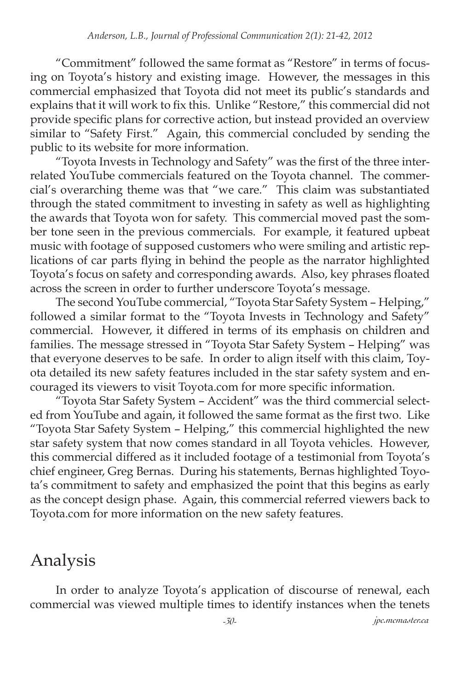"Commitment" followed the same format as "Restore" in terms of focusing on Toyota's history and existing image. However, the messages in this commercial emphasized that Toyota did not meet its public's standards and explains that it will work to fix this. Unlike "Restore," this commercial did not provide specific plans for corrective action, but instead provided an overview similar to "Safety First." Again, this commercial concluded by sending the public to its website for more information.

"Toyota Invests in Technology and Safety" was the first of the three interrelated YouTube commercials featured on the Toyota channel. The commercial's overarching theme was that "we care." This claim was substantiated through the stated commitment to investing in safety as well as highlighting the awards that Toyota won for safety. This commercial moved past the somber tone seen in the previous commercials. For example, it featured upbeat music with footage of supposed customers who were smiling and artistic replications of car parts flying in behind the people as the narrator highlighted Toyota's focus on safety and corresponding awards. Also, key phrases floated across the screen in order to further underscore Toyota's message.

The second YouTube commercial, "Toyota Star Safety System – Helping," followed a similar format to the "Toyota Invests in Technology and Safety" commercial. However, it differed in terms of its emphasis on children and families. The message stressed in "Toyota Star Safety System – Helping" was that everyone deserves to be safe. In order to align itself with this claim, Toyota detailed its new safety features included in the star safety system and encouraged its viewers to visit Toyota.com for more specific information.

"Toyota Star Safety System – Accident" was the third commercial selected from YouTube and again, it followed the same format as the first two. Like "Toyota Star Safety System – Helping," this commercial highlighted the new star safety system that now comes standard in all Toyota vehicles. However, this commercial differed as it included footage of a testimonial from Toyota's chief engineer, Greg Bernas. During his statements, Bernas highlighted Toyota's commitment to safety and emphasized the point that this begins as early as the concept design phase. Again, this commercial referred viewers back to Toyota.com for more information on the new safety features.

# Analysis

In order to analyze Toyota's application of discourse of renewal, each commercial was viewed multiple times to identify instances when the tenets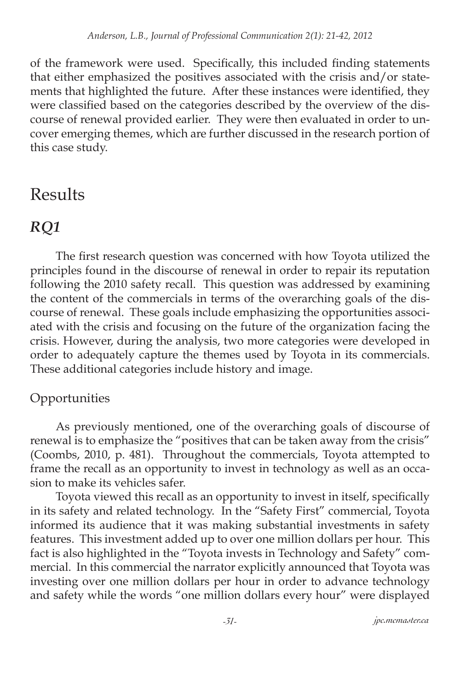of the framework were used. Specifically, this included finding statements that either emphasized the positives associated with the crisis and/or statements that highlighted the future. After these instances were identified, they were classified based on the categories described by the overview of the discourse of renewal provided earlier. They were then evaluated in order to uncover emerging themes, which are further discussed in the research portion of this case study.

# Results

### *RQ1*

The first research question was concerned with how Toyota utilized the principles found in the discourse of renewal in order to repair its reputation following the 2010 safety recall. This question was addressed by examining the content of the commercials in terms of the overarching goals of the discourse of renewal. These goals include emphasizing the opportunities associated with the crisis and focusing on the future of the organization facing the crisis. However, during the analysis, two more categories were developed in order to adequately capture the themes used by Toyota in its commercials. These additional categories include history and image.

### Opportunities

As previously mentioned, one of the overarching goals of discourse of renewal is to emphasize the "positives that can be taken away from the crisis" (Coombs, 2010, p. 481). Throughout the commercials, Toyota attempted to frame the recall as an opportunity to invest in technology as well as an occasion to make its vehicles safer.

Toyota viewed this recall as an opportunity to invest in itself, specifically in its safety and related technology. In the "Safety First" commercial, Toyota informed its audience that it was making substantial investments in safety features. This investment added up to over one million dollars per hour. This fact is also highlighted in the "Toyota invests in Technology and Safety" commercial. In this commercial the narrator explicitly announced that Toyota was investing over one million dollars per hour in order to advance technology and safety while the words "one million dollars every hour" were displayed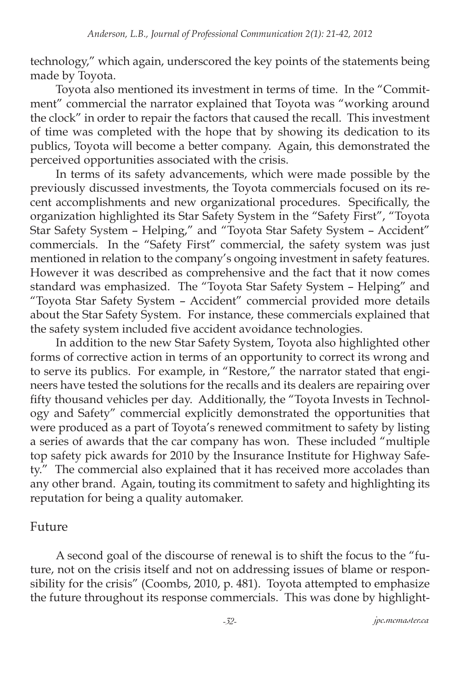technology," which again, underscored the key points of the statements being made by Toyota.

Toyota also mentioned its investment in terms of time. In the "Commitment" commercial the narrator explained that Toyota was "working around the clock" in order to repair the factors that caused the recall. This investment of time was completed with the hope that by showing its dedication to its publics, Toyota will become a better company. Again, this demonstrated the perceived opportunities associated with the crisis.

In terms of its safety advancements, which were made possible by the previously discussed investments, the Toyota commercials focused on its recent accomplishments and new organizational procedures. Specifically, the organization highlighted its Star Safety System in the "Safety First", "Toyota Star Safety System – Helping," and "Toyota Star Safety System – Accident" commercials. In the "Safety First" commercial, the safety system was just mentioned in relation to the company's ongoing investment in safety features. However it was described as comprehensive and the fact that it now comes standard was emphasized. The "Toyota Star Safety System – Helping" and "Toyota Star Safety System – Accident" commercial provided more details about the Star Safety System. For instance, these commercials explained that the safety system included five accident avoidance technologies.

In addition to the new Star Safety System, Toyota also highlighted other forms of corrective action in terms of an opportunity to correct its wrong and to serve its publics. For example, in "Restore," the narrator stated that engineers have tested the solutions for the recalls and its dealers are repairing over fifty thousand vehicles per day. Additionally, the "Toyota Invests in Technology and Safety" commercial explicitly demonstrated the opportunities that were produced as a part of Toyota's renewed commitment to safety by listing a series of awards that the car company has won. These included "multiple top safety pick awards for 2010 by the Insurance Institute for Highway Safety." The commercial also explained that it has received more accolades than any other brand. Again, touting its commitment to safety and highlighting its reputation for being a quality automaker.

#### Future

A second goal of the discourse of renewal is to shift the focus to the "future, not on the crisis itself and not on addressing issues of blame or responsibility for the crisis" (Coombs, 2010, p. 481). Toyota attempted to emphasize the future throughout its response commercials. This was done by highlight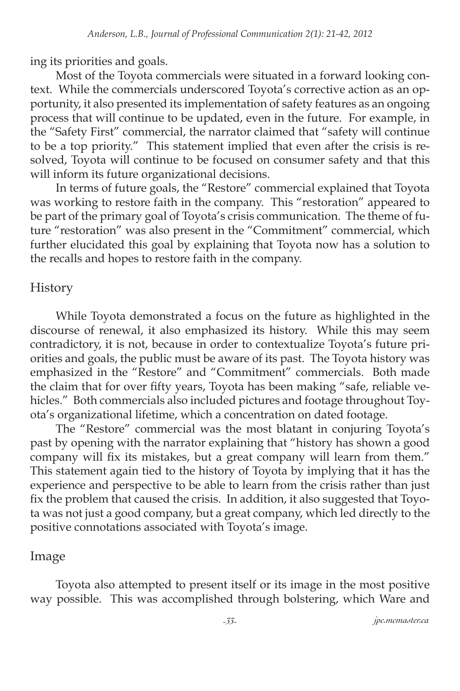ing its priorities and goals.

Most of the Toyota commercials were situated in a forward looking context. While the commercials underscored Toyota's corrective action as an opportunity, it also presented its implementation of safety features as an ongoing process that will continue to be updated, even in the future. For example, in the "Safety First" commercial, the narrator claimed that "safety will continue to be a top priority." This statement implied that even after the crisis is resolved, Toyota will continue to be focused on consumer safety and that this will inform its future organizational decisions.

In terms of future goals, the "Restore" commercial explained that Toyota was working to restore faith in the company. This "restoration" appeared to be part of the primary goal of Toyota's crisis communication. The theme of future "restoration" was also present in the "Commitment" commercial, which further elucidated this goal by explaining that Toyota now has a solution to the recalls and hopes to restore faith in the company.

#### **History**

While Toyota demonstrated a focus on the future as highlighted in the discourse of renewal, it also emphasized its history. While this may seem contradictory, it is not, because in order to contextualize Toyota's future priorities and goals, the public must be aware of its past. The Toyota history was emphasized in the "Restore" and "Commitment" commercials. Both made the claim that for over fifty years, Toyota has been making "safe, reliable vehicles." Both commercials also included pictures and footage throughout Toyota's organizational lifetime, which a concentration on dated footage.

The "Restore" commercial was the most blatant in conjuring Toyota's past by opening with the narrator explaining that "history has shown a good company will fix its mistakes, but a great company will learn from them." This statement again tied to the history of Toyota by implying that it has the experience and perspective to be able to learn from the crisis rather than just fix the problem that caused the crisis. In addition, it also suggested that Toyota was not just a good company, but a great company, which led directly to the positive connotations associated with Toyota's image.

#### Image

Toyota also attempted to present itself or its image in the most positive way possible. This was accomplished through bolstering, which Ware and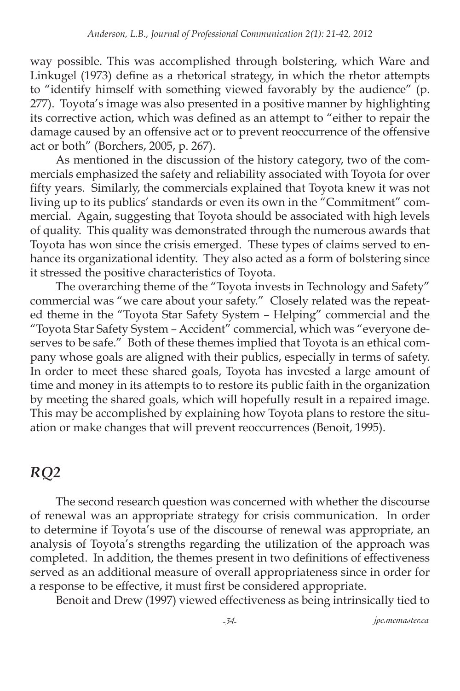way possible. This was accomplished through bolstering, which Ware and Linkugel (1973) define as a rhetorical strategy, in which the rhetor attempts to "identify himself with something viewed favorably by the audience" (p. 277). Toyota's image was also presented in a positive manner by highlighting its corrective action, which was defined as an attempt to "either to repair the damage caused by an offensive act or to prevent reoccurrence of the offensive act or both" (Borchers, 2005, p. 267).

As mentioned in the discussion of the history category, two of the commercials emphasized the safety and reliability associated with Toyota for over fifty years. Similarly, the commercials explained that Toyota knew it was not living up to its publics' standards or even its own in the "Commitment" commercial. Again, suggesting that Toyota should be associated with high levels of quality. This quality was demonstrated through the numerous awards that Toyota has won since the crisis emerged. These types of claims served to enhance its organizational identity. They also acted as a form of bolstering since it stressed the positive characteristics of Toyota.

The overarching theme of the "Toyota invests in Technology and Safety" commercial was "we care about your safety." Closely related was the repeated theme in the "Toyota Star Safety System – Helping" commercial and the "Toyota Star Safety System – Accident" commercial, which was "everyone deserves to be safe." Both of these themes implied that Toyota is an ethical company whose goals are aligned with their publics, especially in terms of safety. In order to meet these shared goals, Toyota has invested a large amount of time and money in its attempts to to restore its public faith in the organization by meeting the shared goals, which will hopefully result in a repaired image. This may be accomplished by explaining how Toyota plans to restore the situation or make changes that will prevent reoccurrences (Benoit, 1995).

### *RQ2*

The second research question was concerned with whether the discourse of renewal was an appropriate strategy for crisis communication. In order to determine if Toyota's use of the discourse of renewal was appropriate, an analysis of Toyota's strengths regarding the utilization of the approach was completed. In addition, the themes present in two definitions of effectiveness served as an additional measure of overall appropriateness since in order for a response to be effective, it must first be considered appropriate.

Benoit and Drew (1997) viewed effectiveness as being intrinsically tied to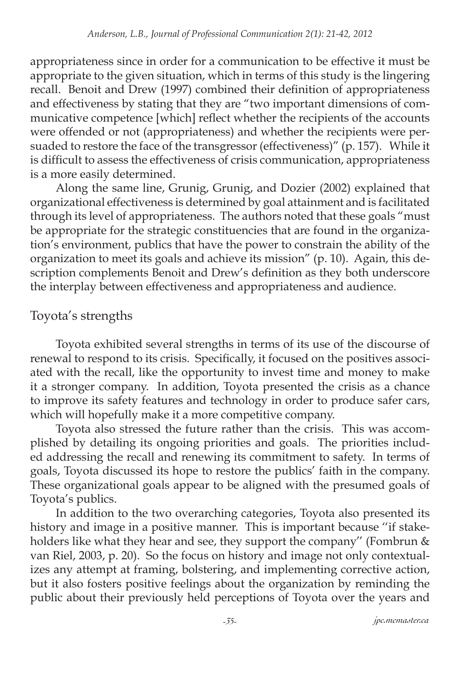appropriateness since in order for a communication to be effective it must be appropriate to the given situation, which in terms of this study is the lingering recall. Benoit and Drew (1997) combined their definition of appropriateness and effectiveness by stating that they are "two important dimensions of communicative competence [which] reflect whether the recipients of the accounts were offended or not (appropriateness) and whether the recipients were persuaded to restore the face of the transgressor (effectiveness)" (p. 157). While it is difficult to assess the effectiveness of crisis communication, appropriateness is a more easily determined.

Along the same line, Grunig, Grunig, and Dozier (2002) explained that organizational effectiveness is determined by goal attainment and is facilitated through its level of appropriateness. The authors noted that these goals "must be appropriate for the strategic constituencies that are found in the organization's environment, publics that have the power to constrain the ability of the organization to meet its goals and achieve its mission" (p. 10). Again, this description complements Benoit and Drew's definition as they both underscore the interplay between effectiveness and appropriateness and audience.

### Toyota's strengths

Toyota exhibited several strengths in terms of its use of the discourse of renewal to respond to its crisis. Specifically, it focused on the positives associated with the recall, like the opportunity to invest time and money to make it a stronger company. In addition, Toyota presented the crisis as a chance to improve its safety features and technology in order to produce safer cars, which will hopefully make it a more competitive company.

Toyota also stressed the future rather than the crisis. This was accomplished by detailing its ongoing priorities and goals. The priorities included addressing the recall and renewing its commitment to safety. In terms of goals, Toyota discussed its hope to restore the publics' faith in the company. These organizational goals appear to be aligned with the presumed goals of Toyota's publics.

In addition to the two overarching categories, Toyota also presented its history and image in a positive manner. This is important because ''if stakeholders like what they hear and see, they support the company'' (Fombrun & van Riel, 2003, p. 20). So the focus on history and image not only contextualizes any attempt at framing, bolstering, and implementing corrective action, but it also fosters positive feelings about the organization by reminding the public about their previously held perceptions of Toyota over the years and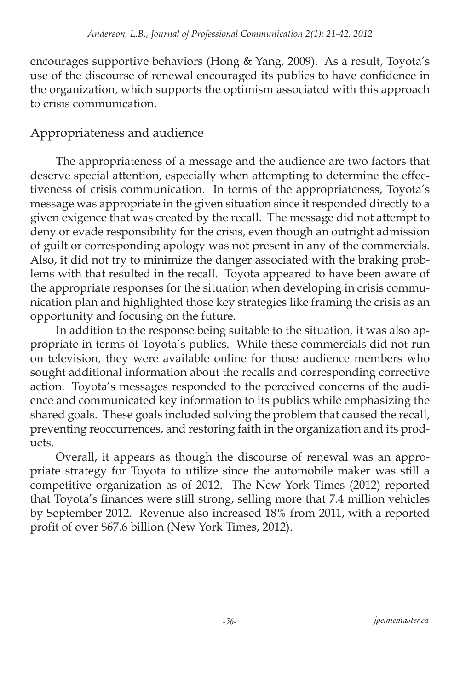encourages supportive behaviors (Hong & Yang, 2009). As a result, Toyota's use of the discourse of renewal encouraged its publics to have confidence in the organization, which supports the optimism associated with this approach to crisis communication.

#### Appropriateness and audience

The appropriateness of a message and the audience are two factors that deserve special attention, especially when attempting to determine the effectiveness of crisis communication. In terms of the appropriateness, Toyota's message was appropriate in the given situation since it responded directly to a given exigence that was created by the recall. The message did not attempt to deny or evade responsibility for the crisis, even though an outright admission of guilt or corresponding apology was not present in any of the commercials. Also, it did not try to minimize the danger associated with the braking problems with that resulted in the recall. Toyota appeared to have been aware of the appropriate responses for the situation when developing in crisis communication plan and highlighted those key strategies like framing the crisis as an opportunity and focusing on the future.

In addition to the response being suitable to the situation, it was also appropriate in terms of Toyota's publics. While these commercials did not run on television, they were available online for those audience members who sought additional information about the recalls and corresponding corrective action. Toyota's messages responded to the perceived concerns of the audience and communicated key information to its publics while emphasizing the shared goals. These goals included solving the problem that caused the recall, preventing reoccurrences, and restoring faith in the organization and its products.

Overall, it appears as though the discourse of renewal was an appropriate strategy for Toyota to utilize since the automobile maker was still a competitive organization as of 2012. The New York Times (2012) reported that Toyota's finances were still strong, selling more that 7.4 million vehicles by September 2012. Revenue also increased 18% from 2011, with a reported profit of over \$67.6 billion (New York Times, 2012).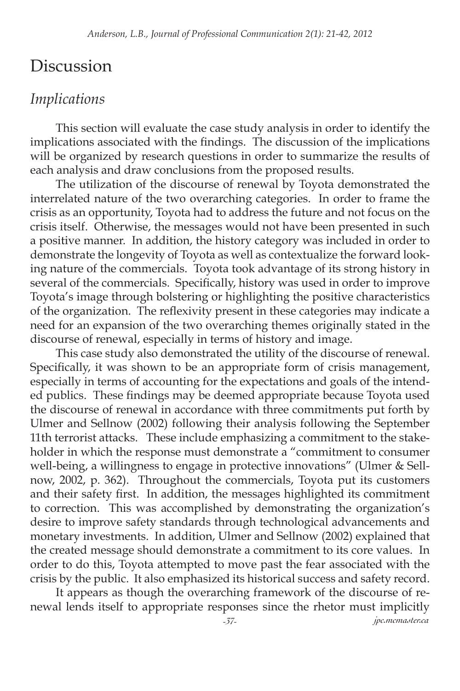### Discussion

### *Implications*

This section will evaluate the case study analysis in order to identify the implications associated with the findings. The discussion of the implications will be organized by research questions in order to summarize the results of each analysis and draw conclusions from the proposed results.

The utilization of the discourse of renewal by Toyota demonstrated the interrelated nature of the two overarching categories. In order to frame the crisis as an opportunity, Toyota had to address the future and not focus on the crisis itself. Otherwise, the messages would not have been presented in such a positive manner. In addition, the history category was included in order to demonstrate the longevity of Toyota as well as contextualize the forward looking nature of the commercials. Toyota took advantage of its strong history in several of the commercials. Specifically, history was used in order to improve Toyota's image through bolstering or highlighting the positive characteristics of the organization. The reflexivity present in these categories may indicate a need for an expansion of the two overarching themes originally stated in the discourse of renewal, especially in terms of history and image.

This case study also demonstrated the utility of the discourse of renewal. Specifically, it was shown to be an appropriate form of crisis management, especially in terms of accounting for the expectations and goals of the intended publics. These findings may be deemed appropriate because Toyota used the discourse of renewal in accordance with three commitments put forth by Ulmer and Sellnow (2002) following their analysis following the September 11th terrorist attacks. These include emphasizing a commitment to the stakeholder in which the response must demonstrate a "commitment to consumer well-being, a willingness to engage in protective innovations" (Ulmer & Sellnow, 2002, p. 362). Throughout the commercials, Toyota put its customers and their safety first. In addition, the messages highlighted its commitment to correction. This was accomplished by demonstrating the organization's desire to improve safety standards through technological advancements and monetary investments. In addition, Ulmer and Sellnow (2002) explained that the created message should demonstrate a commitment to its core values. In order to do this, Toyota attempted to move past the fear associated with the crisis by the public. It also emphasized its historical success and safety record.

It appears as though the overarching framework of the discourse of renewal lends itself to appropriate responses since the rhetor must implicitly

*-37- jpc.mcmaster.ca*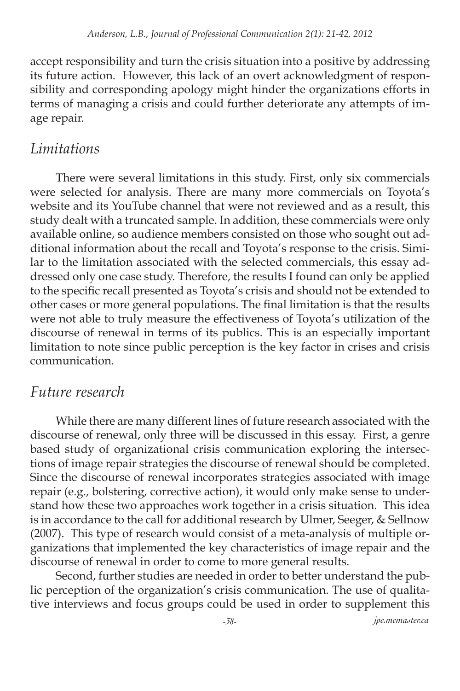accept responsibility and turn the crisis situation into a positive by addressing its future action. However, this lack of an overt acknowledgment of responsibility and corresponding apology might hinder the organizations efforts in terms of managing a crisis and could further deteriorate any attempts of image repair.

### *Limitations*

There were several limitations in this study. First, only six commercials were selected for analysis. There are many more commercials on Toyota's website and its YouTube channel that were not reviewed and as a result, this study dealt with a truncated sample. In addition, these commercials were only available online, so audience members consisted on those who sought out additional information about the recall and Toyota's response to the crisis. Similar to the limitation associated with the selected commercials, this essay addressed only one case study. Therefore, the results I found can only be applied to the specific recall presented as Toyota's crisis and should not be extended to other cases or more general populations. The final limitation is that the results were not able to truly measure the effectiveness of Toyota's utilization of the discourse of renewal in terms of its publics. This is an especially important limitation to note since public perception is the key factor in crises and crisis communication.

### *Future research*

While there are many different lines of future research associated with the discourse of renewal, only three will be discussed in this essay. First, a genre based study of organizational crisis communication exploring the intersections of image repair strategies the discourse of renewal should be completed. Since the discourse of renewal incorporates strategies associated with image repair (e.g., bolstering, corrective action), it would only make sense to understand how these two approaches work together in a crisis situation. This idea is in accordance to the call for additional research by Ulmer, Seeger, & Sellnow (2007). This type of research would consist of a meta-analysis of multiple organizations that implemented the key characteristics of image repair and the discourse of renewal in order to come to more general results.

Second, further studies are needed in order to better understand the public perception of the organization's crisis communication. The use of qualitative interviews and focus groups could be used in order to supplement this

*-38- jpc.mcmaster.ca*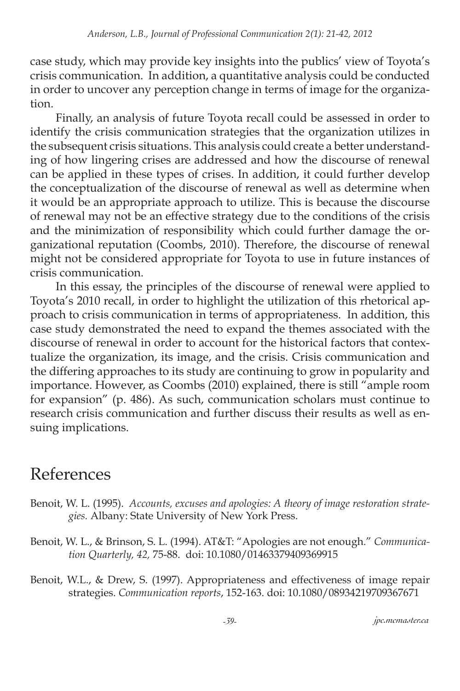case study, which may provide key insights into the publics' view of Toyota's crisis communication. In addition, a quantitative analysis could be conducted in order to uncover any perception change in terms of image for the organization.

Finally, an analysis of future Toyota recall could be assessed in order to identify the crisis communication strategies that the organization utilizes in the subsequent crisis situations. This analysis could create a better understanding of how lingering crises are addressed and how the discourse of renewal can be applied in these types of crises. In addition, it could further develop the conceptualization of the discourse of renewal as well as determine when it would be an appropriate approach to utilize. This is because the discourse of renewal may not be an effective strategy due to the conditions of the crisis and the minimization of responsibility which could further damage the organizational reputation (Coombs, 2010). Therefore, the discourse of renewal might not be considered appropriate for Toyota to use in future instances of crisis communication.

In this essay, the principles of the discourse of renewal were applied to Toyota's 2010 recall, in order to highlight the utilization of this rhetorical approach to crisis communication in terms of appropriateness. In addition, this case study demonstrated the need to expand the themes associated with the discourse of renewal in order to account for the historical factors that contextualize the organization, its image, and the crisis. Crisis communication and the differing approaches to its study are continuing to grow in popularity and importance. However, as Coombs (2010) explained, there is still "ample room for expansion" (p. 486). As such, communication scholars must continue to research crisis communication and further discuss their results as well as ensuing implications.

# References

- Benoit, W. L. (1995). *Accounts, excuses and apologies: A theory of image restoration strategies.* Albany: State University of New York Press.
- Benoit, W. L., & Brinson, S. L. (1994). AT&T: "Apologies are not enough." *Communication Quarterly, 42,* 75-88. doi: 10.1080/01463379409369915
- Benoit, W.L., & Drew, S. (1997). Appropriateness and effectiveness of image repair strategies. *Communication reports*, 152-163. doi: 10.1080/08934219709367671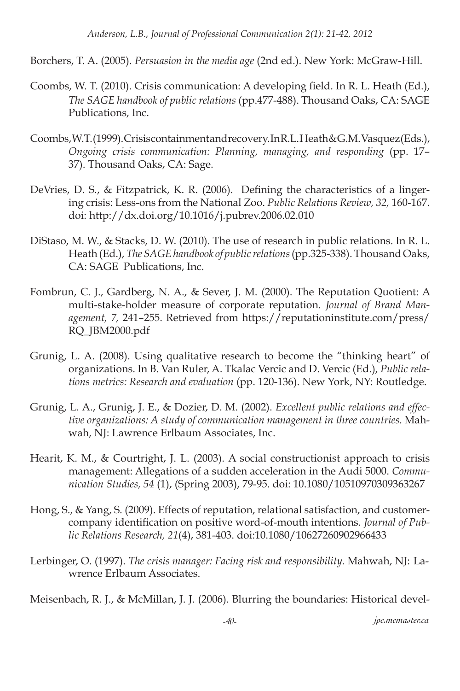Borchers, T. A. (2005). *Persuasion in the media age* (2nd ed.). New York: McGraw-Hill.

- Coombs, W. T. (2010). Crisis communication: A developing field. In R. L. Heath (Ed.), *The SAGE handbook of public relations* (pp.477-488). Thousand Oaks, CA: SAGE Publications, Inc.
- Coombs, W.T. (1999). Crisis containment and recovery. In R.L. Heath & G.M. Vasquez (Eds.), *Ongoing crisis communication: Planning, managing, and responding* (pp. 17– 37). Thousand Oaks, CA: Sage.
- DeVries, D. S., & Fitzpatrick, K. R. (2006). Defining the characteristics of a lingering crisis: Less-ons from the National Zoo. *Public Relations Review, 32,* 160-167. doi: http://dx.doi.org/10.1016/j.pubrev.2006.02.010
- DiStaso, M. W., & Stacks, D. W. (2010). The use of research in public relations. In R. L. Heath (Ed.), *The SAGE handbook of public relations* (pp.325-338). Thousand Oaks, CA: SAGE Publications, Inc.
- Fombrun, C. J., Gardberg, N. A., & Sever, J. M. (2000). The Reputation Quotient: A multi-stake-holder measure of corporate reputation. *Journal of Brand Management, 7,* 241–255. Retrieved from https://reputationinstitute.com/press/ RQ\_JBM2000.pdf
- Grunig, L. A. (2008). Using qualitative research to become the "thinking heart" of organizations. In B. Van Ruler, A. Tkalac Vercic and D. Vercic (Ed.), *Public relations metrics: Research and evaluation* (pp. 120-136). New York, NY: Routledge.
- Grunig, L. A., Grunig, J. E., & Dozier, D. M. (2002). *Excellent public relations and effective organizations: A study of communication management in three countries.* Mahwah, NJ: Lawrence Erlbaum Associates, Inc.
- Hearit, K. M., & Courtright, J. L. (2003). A social constructionist approach to crisis management: Allegations of a sudden acceleration in the Audi 5000. *Communication Studies, 54* (1), (Spring 2003), 79-95. doi: 10.1080/10510970309363267
- Hong, S., & Yang, S. (2009). Effects of reputation, relational satisfaction, and customercompany identification on positive word-of-mouth intentions. *Journal of Public Relations Research, 21*(4), 381-403. doi:10.1080/10627260902966433
- Lerbinger, O. (1997). *The crisis manager: Facing risk and responsibility.* Mahwah, NJ: Lawrence Erlbaum Associates.

Meisenbach, R. J., & McMillan, J. J. (2006). Blurring the boundaries: Historical devel-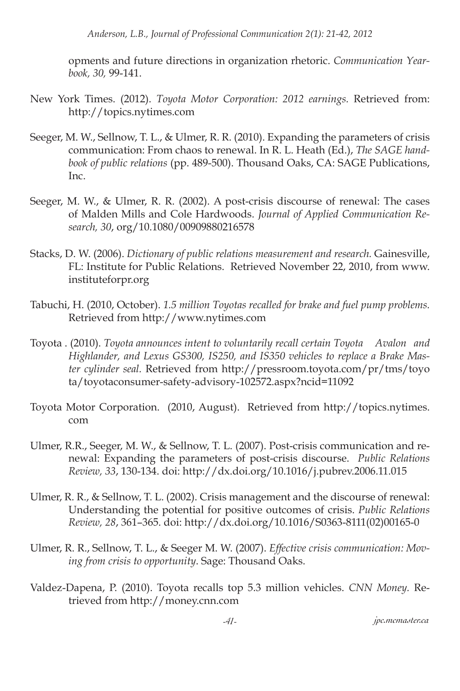*Anderson, L.B., Journal of Professional Communication 2(1): 21-42, 2012*

opments and future directions in organization rhetoric. *Communication Yearbook, 30,* 99-141.

- New York Times. (2012). *Toyota Motor Corporation: 2012 earnings.* Retrieved from: http://topics.nytimes.com
- Seeger, M. W., Sellnow, T. L., & Ulmer, R. R. (2010). Expanding the parameters of crisis communication: From chaos to renewal. In R. L. Heath (Ed.), *The SAGE handbook of public relations* (pp. 489-500). Thousand Oaks, CA: SAGE Publications, Inc.
- Seeger, M. W., & Ulmer, R. R. (2002). A post-crisis discourse of renewal: The cases of Malden Mills and Cole Hardwoods. *Journal of Applied Communication Research, 30*, org/10.1080/00909880216578
- Stacks, D. W. (2006). *Dictionary of public relations measurement and research.* Gainesville, FL: Institute for Public Relations. Retrieved November 22, 2010, from www. instituteforpr.org
- Tabuchi, H. (2010, October). *1.5 million Toyotas recalled for brake and fuel pump problems.*  Retrieved from http://www.nytimes.com
- Toyota . (2010). *Toyota announces intent to voluntarily recall certain Toyota Avalon and Highlander, and Lexus GS300, IS250, and IS350 vehicles to replace a Brake Master cylinder seal.* Retrieved from http://pressroom.toyota.com/pr/tms/toyo ta/toyotaconsumer-safety-advisory-102572.aspx?ncid=11092
- Toyota Motor Corporation. (2010, August). Retrieved from http://topics.nytimes. com
- Ulmer, R.R., Seeger, M. W., & Sellnow, T. L. (2007). Post-crisis communication and renewal: Expanding the parameters of post-crisis discourse. *Public Relations Review, 33*, 130-134. doi: http://dx.doi.org/10.1016/j.pubrev.2006.11.015
- Ulmer, R. R., & Sellnow, T. L. (2002). Crisis management and the discourse of renewal: Understanding the potential for positive outcomes of crisis. *Public Relations Review, 28*, 361–365. doi: http://dx.doi.org/10.1016/S0363-8111(02)00165-0
- Ulmer, R. R., Sellnow, T. L., & Seeger M. W. (2007). *Effective crisis communication: Moving from crisis to opportunity*. Sage: Thousand Oaks.
- Valdez-Dapena, P. (2010). Toyota recalls top 5.3 million vehicles. *CNN Money.* Retrieved from http://money.cnn.com